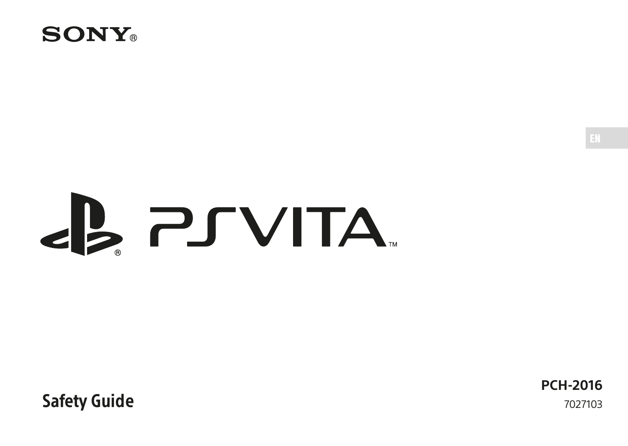

# **EL PSVITA**

Safety Guide

**PCH-2016** 7027103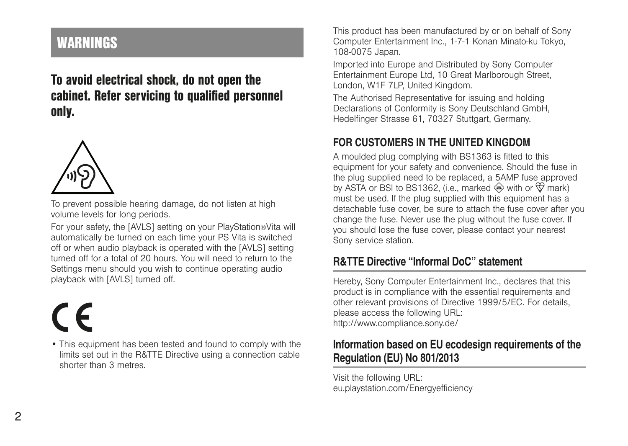# <span id="page-1-0"></span>WARNINGS

To avoid electrical shock, do not open the cabinet. Refer servicing to qualified personnel only.



To prevent possible hearing damage, do not listen at high volume levels for long periods.

For your safety, the [AVLS] setting on your PlayStation®Vita will automatically be turned on each time your PS Vita is switched off or when audio playback is operated with the [AVLS] setting turned off for a total of 20 hours. You will need to return to the Settings menu should you wish to continue operating audio playback with [AVLS] turned off.

• This equipment has been tested and found to comply with the limits set out in the R&TTE Directive using a connection cable shorter than 3 metres.

This product has been manufactured by or on behalf of Sony Computer Entertainment Inc., 1-7-1 Konan Minato-ku Tokyo, 108-0075 Japan.

Imported into Europe and Distributed by Sony Computer Entertainment Europe Ltd, 10 Great Marlborough Street, London, W1F 7LP, United Kingdom.

The Authorised Representative for issuing and holding Declarations of Conformity is Sony Deutschland GmbH, Hedelfinger Strasse 61, 70327 Stuttgart, Germany.

#### FOR CUSTOMERS IN THE UNITED KINGDOM

A moulded plug complying with BS1363 is fitted to this equipment for your safety and convenience. Should the fuse in the plug supplied need to be replaced, a 5AMP fuse approved by ASTA or BSI to BS1362, (i.e., marked  $\circledast$  with or  $\circledast$  mark) must be used. If the plug supplied with this equipment has a detachable fuse cover, be sure to attach the fuse cover after you change the fuse. Never use the plug without the fuse cover. If you should lose the fuse cover, please contact your nearest Sony service station.

#### R&TTE Directive "Informal DoC" statement

Hereby, Sony Computer Entertainment Inc., declares that this product is in compliance with the essential requirements and other relevant provisions of Directive 1999/5/EC. For details, please access the following URL: http://www.compliance.sony.de/

#### Information based on EU ecodesign requirements of the Regulation (EU) No 801/2013

Visit the following URL: eu.playstation.com/Energyefficiency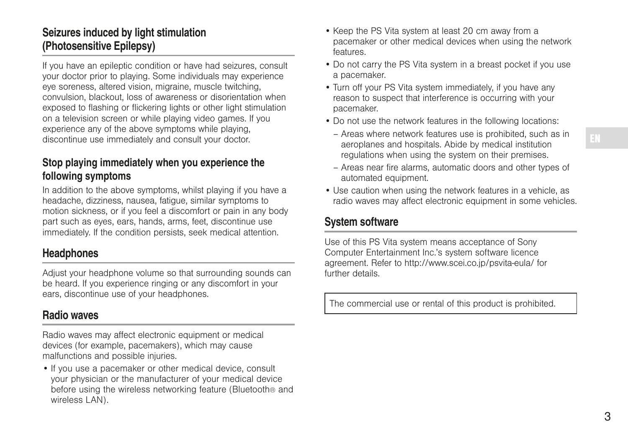#### Seizures induced by light stimulation (Photosensitive Epilepsy)

If you have an epileptic condition or have had seizures, consult your doctor prior to playing. Some individuals may experience eye soreness, altered vision, migraine, muscle twitching, convulsion, blackout, loss of awareness or disorientation when exposed to flashing or flickering lights or other light stimulation on a television screen or while playing video games. If you experience any of the above symptoms while playing, discontinue use immediately and consult your doctor.

#### Stop playing immediately when you experience the following symptoms

In addition to the above symptoms, whilst playing if you have a headache, dizziness, nausea, fatigue, similar symptoms to motion sickness, or if you feel a discomfort or pain in any body part such as eyes, ears, hands, arms, feet, discontinue use immediately. If the condition persists, seek medical attention.

#### **Headphones**

Adjust your headphone volume so that surrounding sounds can be heard. If you experience ringing or any discomfort in your ears, discontinue use of your headphones.

#### Radio waves

Radio waves may affect electronic equipment or medical devices (for example, pacemakers), which may cause malfunctions and possible injuries.

• If you use a pacemaker or other medical device, consult your physician or the manufacturer of your medical device before using the wireless networking feature (Bluetooth® and wireless LAN).

- Keep the PS Vita system at least 20 cm away from a pacemaker or other medical devices when using the network features.
- Do not carry the PS Vita system in a breast pocket if you use a pacemaker.
- Turn off your PS Vita system immediately, if you have any reason to suspect that interference is occurring with your pacemaker.
- Do not use the network features in the following locations:
	- Areas where network features use is prohibited, such as in aeroplanes and hospitals. Abide by medical institution regulations when using the system on their premises.
	- Areas near fire alarms, automatic doors and other types of automated equipment.
- Use caution when using the network features in a vehicle, as radio waves may affect electronic equipment in some vehicles.

#### System software

Use of this PS Vita system means acceptance of Sony Computer Entertainment Inc.'s system software licence agreement. Refer to http://www.scei.co.jp/psvita-eula/ for further details.

The commercial use or rental of this product is prohibited.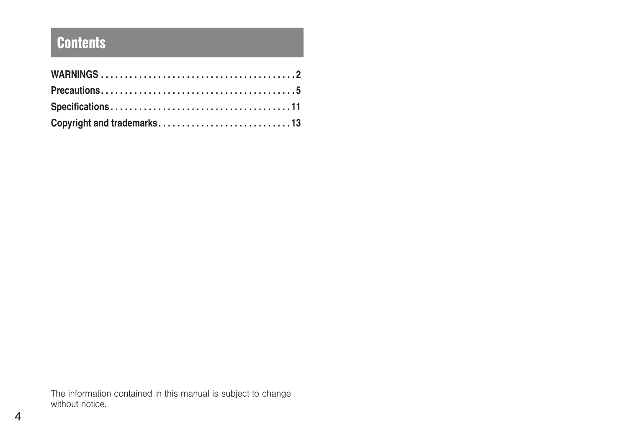# **Contents**

| Copyright and trademarks13 |  |
|----------------------------|--|

The information contained in this manual is subject to change without notice.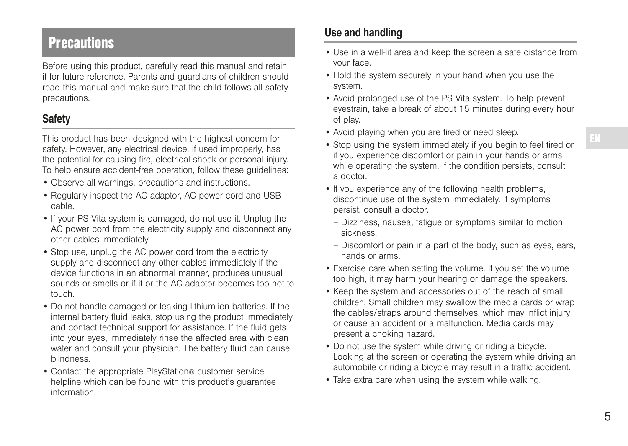# <span id="page-4-0"></span>**Precautions**

Before using this product, carefully read this manual and retain it for future reference. Parents and guardians of children should read this manual and make sure that the child follows all safety precautions.

## **Safety**

This product has been designed with the highest concern for safety. However, any electrical device, if used improperly, has the potential for causing fire, electrical shock or personal injury. To help ensure accident-free operation, follow these guidelines:

- Observe all warnings, precautions and instructions.
- Regularly inspect the AC adaptor, AC power cord and USB cable.
- If your PS Vita system is damaged, do not use it. Unplug the AC power cord from the electricity supply and disconnect any other cables immediately.
- Stop use, unplug the AC power cord from the electricity supply and disconnect any other cables immediately if the device functions in an abnormal manner, produces unusual sounds or smells or if it or the AC adaptor becomes too hot to touch.
- Do not handle damaged or leaking lithium-ion batteries. If the internal battery fluid leaks, stop using the product immediately and contact technical support for assistance. If the fluid gets into your eyes, immediately rinse the affected area with clean water and consult your physician. The battery fluid can cause blindness.
- Contact the appropriate PlayStation® customer service helpline which can be found with this product's guarantee information.

#### Use and handling

- Use in a well-lit area and keep the screen a safe distance from your face.
- Hold the system securely in your hand when you use the system.
- Avoid prolonged use of the PS Vita system. To help prevent eyestrain, take a break of about 15 minutes during every hour of play.
- Avoid playing when you are tired or need sleep.
- Stop using the system immediately if you begin to feel tired or if you experience discomfort or pain in your hands or arms while operating the system. If the condition persists, consult a doctor.
- If you experience any of the following health problems, discontinue use of the system immediately. If symptoms persist, consult a doctor.
	- Dizziness, nausea, fatigue or symptoms similar to motion sickness.
	- Discomfort or pain in a part of the body, such as eyes, ears, hands or arms.
- Exercise care when setting the volume. If you set the volume too high, it may harm your hearing or damage the speakers.
- Keep the system and accessories out of the reach of small children. Small children may swallow the media cards or wrap the cables/straps around themselves, which may inflict injury or cause an accident or a malfunction. Media cards may present a choking hazard.
- Do not use the system while driving or riding a bicycle. Looking at the screen or operating the system while driving an automobile or riding a bicycle may result in a traffic accident.
- Take extra care when using the system while walking.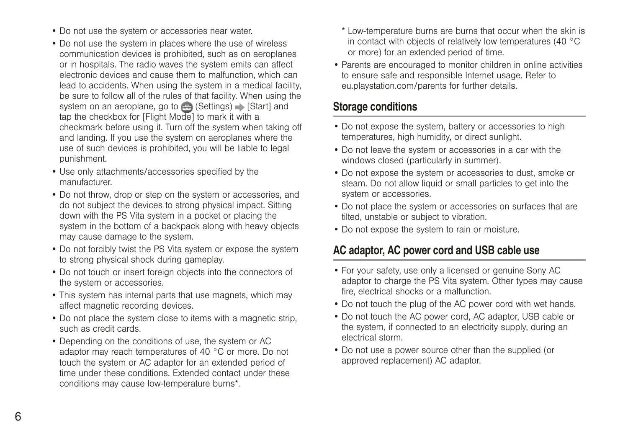- Do not use the system or accessories near water.
- Do not use the system in places where the use of wireless communication devices is prohibited, such as on aeroplanes or in hospitals. The radio waves the system emits can affect electronic devices and cause them to malfunction, which can lead to accidents. When using the system in a medical facility, be sure to follow all of the rules of that facility. When using the system on an aeroplane, go to (Settings) Startl and tap the checkbox for [Flight Mode] to mark it with a checkmark before using it. Turn off the system when taking off and landing. If you use the system on aeroplanes where the use of such devices is prohibited, you will be liable to legal punishment.
- Use only attachments/accessories specified by the manufacturer.
- Do not throw, drop or step on the system or accessories, and do not subject the devices to strong physical impact. Sitting down with the PS Vita system in a pocket or placing the system in the bottom of a backpack along with heavy objects may cause damage to the system.
- Do not forcibly twist the PS Vita system or expose the system to strong physical shock during gameplay.
- Do not touch or insert foreign objects into the connectors of the system or accessories.
- This system has internal parts that use magnets, which may affect magnetic recording devices.
- Do not place the system close to items with a magnetic strip, such as credit cards.
- Depending on the conditions of use, the system or AC adaptor may reach temperatures of 40 °C or more. Do not touch the system or AC adaptor for an extended period of time under these conditions. Extended contact under these conditions may cause low-temperature burns\*.
- \* Low-temperature burns are burns that occur when the skin is in contact with objects of relatively low temperatures (40 °C or more) for an extended period of time.
- Parents are encouraged to monitor children in online activities to ensure safe and responsible Internet usage. Refer to eu.playstation.com/parents for further details.

#### Storage conditions

- Do not expose the system, battery or accessories to high temperatures, high humidity, or direct sunlight.
- Do not leave the system or accessories in a car with the windows closed (particularly in summer).
- Do not expose the system or accessories to dust, smoke or steam. Do not allow liquid or small particles to get into the system or accessories.
- Do not place the system or accessories on surfaces that are tilted, unstable or subject to vibration.
- Do not expose the system to rain or moisture.

#### AC adaptor, AC power cord and USB cable use

- For your safety, use only a licensed or genuine Sony AC adaptor to charge the PS Vita system. Other types may cause fire, electrical shocks or a malfunction.
- Do not touch the plug of the AC power cord with wet hands.
- Do not touch the AC power cord, AC adaptor, USB cable or the system, if connected to an electricity supply, during an electrical storm.
- Do not use a power source other than the supplied (or approved replacement) AC adaptor.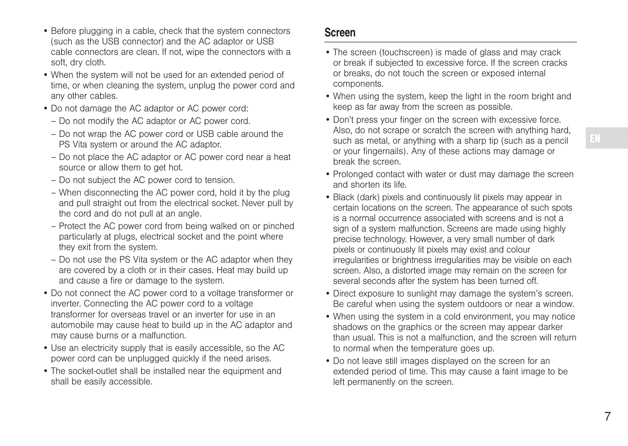- Before plugging in a cable, check that the system connectors (such as the USB connector) and the AC adaptor or USB cable connectors are clean. If not, wipe the connectors with a soft, dry cloth.
- When the system will not be used for an extended period of time, or when cleaning the system, unplug the power cord and any other cables.
- Do not damage the AC adaptor or AC power cord:
	- Do not modify the AC adaptor or AC power cord.
	- Do not wrap the AC power cord or USB cable around the PS Vita system or around the AC adaptor.
	- Do not place the AC adaptor or AC power cord near a heat source or allow them to get hot.
	- Do not subject the AC power cord to tension.
	- When disconnecting the AC power cord, hold it by the plug and pull straight out from the electrical socket. Never pull by the cord and do not pull at an angle.
	- Protect the AC power cord from being walked on or pinched particularly at plugs, electrical socket and the point where they exit from the system.
	- Do not use the PS Vita system or the AC adaptor when they are covered by a cloth or in their cases. Heat may build up and cause a fire or damage to the system.
- Do not connect the AC power cord to a voltage transformer or inverter. Connecting the AC power cord to a voltage transformer for overseas travel or an inverter for use in an automobile may cause heat to build up in the AC adaptor and may cause burns or a malfunction.
- Use an electricity supply that is easily accessible, so the AC power cord can be unplugged quickly if the need arises.
- The socket-outlet shall be installed near the equipment and shall be easily accessible.

#### Screen

- The screen (touchscreen) is made of glass and may crack or break if subjected to excessive force. If the screen cracks or breaks, do not touch the screen or exposed internal components.
- When using the system, keep the light in the room bright and keep as far away from the screen as possible.
- Don't press your finger on the screen with excessive force. Also, do not scrape or scratch the screen with anything hard, such as metal, or anything with a sharp tip (such as a pencil or your fingernails). Any of these actions may damage or break the screen.
- Prolonged contact with water or dust may damage the screen and shorten its life.
- Black (dark) pixels and continuously lit pixels may appear in certain locations on the screen. The appearance of such spots is a normal occurrence associated with screens and is not a sign of a system malfunction. Screens are made using highly precise technology. However, a very small number of dark pixels or continuously lit pixels may exist and colour irregularities or brightness irregularities may be visible on each screen. Also, a distorted image may remain on the screen for several seconds after the system has been turned off.
- Direct exposure to sunlight may damage the system's screen. Be careful when using the system outdoors or near a window.
- When using the system in a cold environment, you may notice shadows on the graphics or the screen may appear darker than usual. This is not a malfunction, and the screen will return to normal when the temperature goes up.
- Do not leave still images displayed on the screen for an extended period of time. This may cause a faint image to be left permanently on the screen.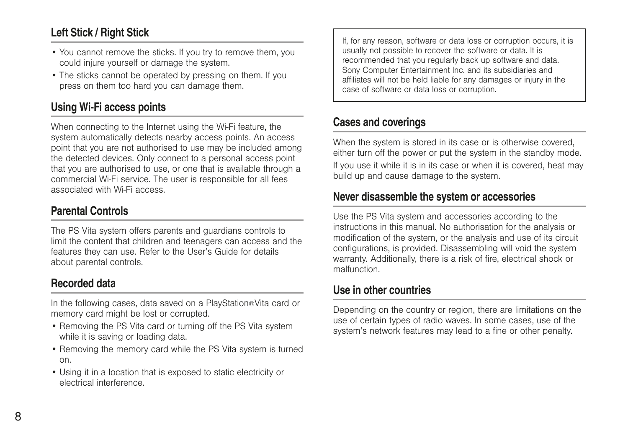#### Left Stick / Right Stick

- You cannot remove the sticks. If you try to remove them, you could injure yourself or damage the system.
- The sticks cannot be operated by pressing on them. If you press on them too hard you can damage them.

#### Using Wi-Fi access points

When connecting to the Internet using the Wi-Fi feature, the system automatically detects nearby access points. An access point that you are not authorised to use may be included among the detected devices. Only connect to a personal access point that you are authorised to use, or one that is available through a commercial Wi-Fi service. The user is responsible for all fees associated with Wi-Fi access.

#### Parental Controls

The PS Vita system offers parents and guardians controls to limit the content that children and teenagers can access and the features they can use. Refer to the User's Guide for details about parental controls.

#### Recorded data

In the following cases, data saved on a PlayStation®Vita card or memory card might be lost or corrupted.

- Removing the PS Vita card or turning off the PS Vita system while it is saving or loading data.
- Removing the memory card while the PS Vita system is turned on.
- Using it in a location that is exposed to static electricity or electrical interference.

If, for any reason, software or data loss or corruption occurs, it is usually not possible to recover the software or data. It is recommended that you regularly back up software and data. Sony Computer Entertainment Inc. and its subsidiaries and affiliates will not be held liable for any damages or injury in the case of software or data loss or corruption.

#### Cases and coverings

When the system is stored in its case or is otherwise covered either turn off the power or put the system in the standby mode. If you use it while it is in its case or when it is covered, heat may build up and cause damage to the system.

#### Never disassemble the system or accessories

Use the PS Vita system and accessories according to the instructions in this manual. No authorisation for the analysis or modification of the system, or the analysis and use of its circuit configurations, is provided. Disassembling will void the system warranty. Additionally, there is a risk of fire, electrical shock or malfunction.

#### Use in other countries

Depending on the country or region, there are limitations on the use of certain types of radio waves. In some cases, use of the system's network features may lead to a fine or other penalty.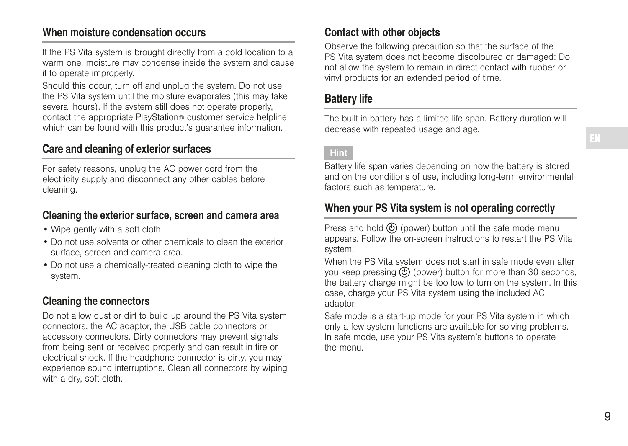#### When moisture condensation occurs

If the PS Vita system is brought directly from a cold location to a warm one, moisture may condense inside the system and cause it to operate improperly.

Should this occur, turn off and unplug the system. Do not use the PS Vita system until the moisture evaporates (this may take several hours). If the system still does not operate properly. contact the appropriate PlayStation® customer service helpline which can be found with this product's quarantee information.

#### Care and cleaning of exterior surfaces

For safety reasons, unplug the AC power cord from the electricity supply and disconnect any other cables before cleaning.

#### Cleaning the exterior surface, screen and camera area

- Wipe gently with a soft cloth
- Do not use solvents or other chemicals to clean the exterior surface, screen and camera area.
- Do not use a chemically-treated cleaning cloth to wipe the system.

#### Cleaning the connectors

Do not allow dust or dirt to build up around the PS Vita system connectors, the AC adaptor, the USB cable connectors or accessory connectors. Dirty connectors may prevent signals from being sent or received properly and can result in fire or electrical shock. If the headphone connector is dirty, you may experience sound interruptions. Clean all connectors by wiping with a dry, soft cloth.

#### Contact with other objects

Observe the following precaution so that the surface of the PS Vita system does not become discoloured or damaged: Do not allow the system to remain in direct contact with rubber or vinyl products for an extended period of time.

#### Battery life

The built-in battery has a limited life span. Battery duration will decrease with repeated usage and age.

#### Hint

Battery life span varies depending on how the battery is stored and on the conditions of use, including long-term environmental factors such as temperature.

#### When your PS Vita system is not operating correctly

Press and hold  $\circledcirc$  (power) button until the safe mode menu appears. Follow the on-screen instructions to restart the PS Vita system.

When the PS Vita system does not start in safe mode even after you keep pressing  $\circled{0}$  (power) button for more than 30 seconds, the battery charge might be too low to turn on the system. In this case, charge your PS Vita system using the included AC adaptor.

Safe mode is a start-up mode for your PS Vita system in which only a few system functions are available for solving problems. In safe mode, use your PS Vita system's buttons to operate the menu.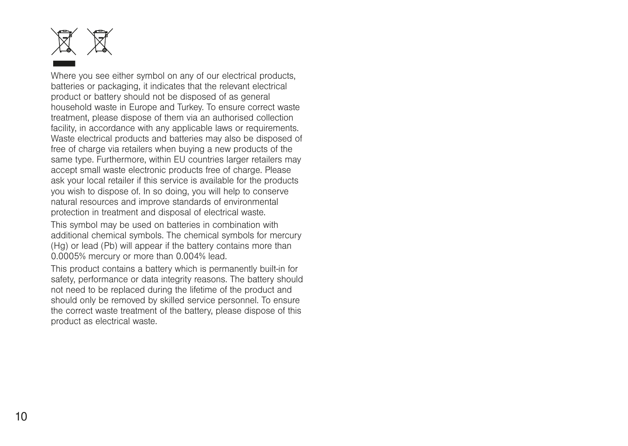

Where you see either symbol on any of our electrical products batteries or packaging, it indicates that the relevant electrical product or battery should not be disposed of as general household waste in Europe and Turkey. To ensure correct waste treatment, please dispose of them via an authorised collection facility, in accordance with any applicable laws or requirements. Waste electrical products and batteries may also be disposed of free of charge via retailers when buying a new products of the same type. Furthermore, within FU countries larger retailers may accept small waste electronic products free of charge. Please ask your local retailer if this service is available for the products you wish to dispose of. In so doing, you will help to conserve natural resources and improve standards of environmental protection in treatment and disposal of electrical waste.

This symbol may be used on batteries in combination with additional chemical symbols. The chemical symbols for mercury (Hg) or lead (Pb) will appear if the battery contains more than 0.0005% mercury or more than 0.004% lead.

This product contains a battery which is permanently built-in for safety, performance or data integrity reasons. The battery should not need to be replaced during the lifetime of the product and should only be removed by skilled service personnel. To ensure the correct waste treatment of the battery, please dispose of this product as electrical waste.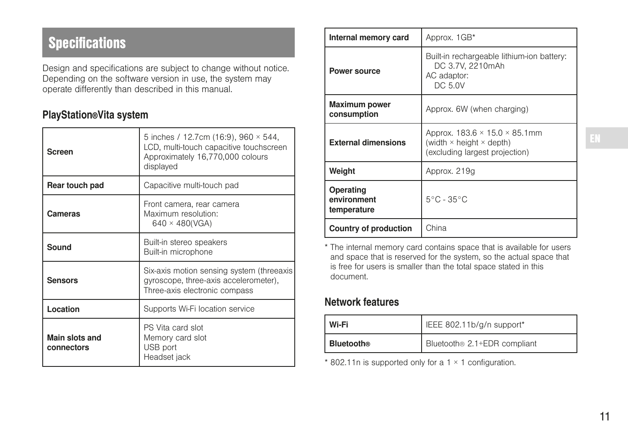# <span id="page-10-0"></span>**Specifications**

Design and specifications are subject to change without notice. Depending on the software version in use, the system may operate differently than described in this manual.

#### PlayStation®Vita system

| Screen                       | 5 inches / 12.7cm (16:9), 960 × 544,<br>LCD, multi-touch capacitive touchscreen<br>Approximately 16,770,000 colours<br>displayed |  |
|------------------------------|----------------------------------------------------------------------------------------------------------------------------------|--|
| Rear touch pad               | Capacitive multi-touch pad                                                                                                       |  |
| Cameras                      | Front camera, rear camera<br>Maximum resolution:<br>$640 \times 480(VGA)$                                                        |  |
| Sound                        | Built-in stereo speakers<br>Built-in microphone                                                                                  |  |
| <b>Sensors</b>               | Six-axis motion sensing system (threeaxis<br>gyroscope, three-axis accelerometer),<br>Three-axis electronic compass              |  |
| Location                     | Supports Wi-Fi location service                                                                                                  |  |
| Main slots and<br>connectors | PS Vita card slot<br>Memory card slot<br>USB port<br>Headset jack                                                                |  |

| Internal memory card                    | Approx. 1GB*                                                                                                           |
|-----------------------------------------|------------------------------------------------------------------------------------------------------------------------|
| Power source                            | Built-in rechargeable lithium-ion battery:<br>DC 3.7V, 2210mAh<br>AC adaptor:<br>DC 5.0V                               |
| <b>Maximum power</b><br>consumption     | Approx. 6W (when charging)                                                                                             |
| <b>External dimensions</b>              | Approx. $183.6 \times 15.0 \times 85.1$ mm<br>(width $\times$ height $\times$ depth)<br>(excluding largest projection) |
| Weight                                  | Approx. 219g                                                                                                           |
| Operating<br>environment<br>temperature | $5^{\circ}$ C - 35 $^{\circ}$ C                                                                                        |
| Country of production                   | China                                                                                                                  |

\* The internal memory card contains space that is available for users and space that is reserved for the system, so the actual space that is free for users is smaller than the total space stated in this document.

#### Network features

| Wi-Fi             | IEEE 802.11b/g/n support*                |
|-------------------|------------------------------------------|
| <b>Bluetooth®</b> | Bluetooth <sup>®</sup> 2.1+EDR compliant |

\* 802.11n is supported only for a 1 × 1 configuration.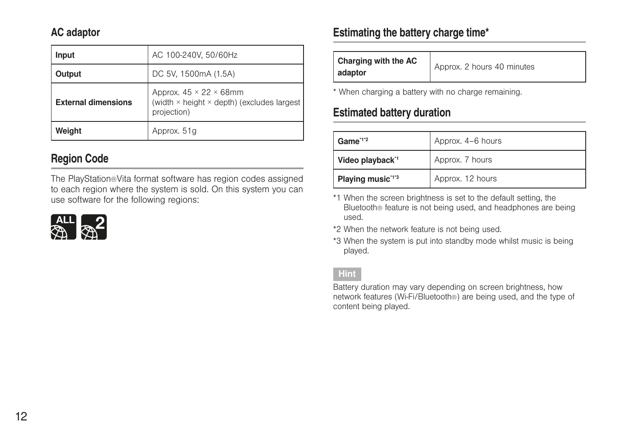#### AC adaptor

| Input                      | AC 100-240V, 50/60Hz                                                                             |
|----------------------------|--------------------------------------------------------------------------------------------------|
| Output                     | DC 5V, 1500mA (1.5A)                                                                             |
| <b>External dimensions</b> | Approx. $45 \times 22 \times 68$ mm<br>(width × height × depth) (excludes largest<br>projection) |
| Weight                     | Approx. 51g                                                                                      |

### Region Code

The PlayStation®Vita format software has region codes assigned to each region where the system is sold. On this system you can use software for the following regions:



#### Estimating the battery charge time\*

| Charging with the AC<br>adaptor | Approx. 2 hours 40 minutes |
|---------------------------------|----------------------------|
|---------------------------------|----------------------------|

\* When charging a battery with no charge remaining.

#### Estimated battery duration

| Game <sup>"1"2</sup>         | Approx. 4-6 hours |
|------------------------------|-------------------|
| Video playback"              | Approx. 7 hours   |
| Playing music <sup>113</sup> | Approx. 12 hours  |

\*1 When the screen brightness is set to the default setting, the Bluetooth® feature is not being used, and headphones are being used.

- \*2 When the network feature is not being used.
- \*3 When the system is put into standby mode whilst music is being played.

#### Hint

Battery duration may vary depending on screen brightness, how network features (Wi-Fi/Bluetooth®) are being used, and the type of content being played.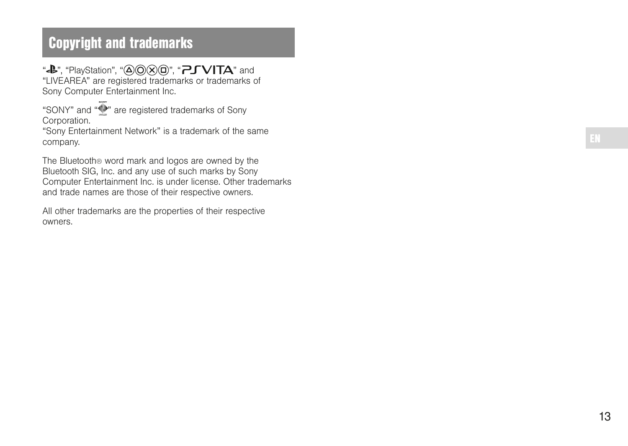# <span id="page-12-0"></span>Copyright and trademarks

"<B", "PlayStation", " $\overline{\triangle}$  ( $\overline{\triangle}$ )( $\overline{\triangle}$ )", " $\overline{P}$  J VITA" and "LIVEAREA" are registered trademarks or trademarks of Sony Computer Entertainment Inc.

"SONY" and " " are registered trademarks of Sony Corporation

"Sony Entertainment Network" is a trademark of the same company.

The Bluetooth® word mark and logos are owned by the Bluetooth SIG, Inc. and any use of such marks by Sony Computer Entertainment Inc. is under license. Other trademarks and trade names are those of their respective owners.

All other trademarks are the properties of their respective owners.